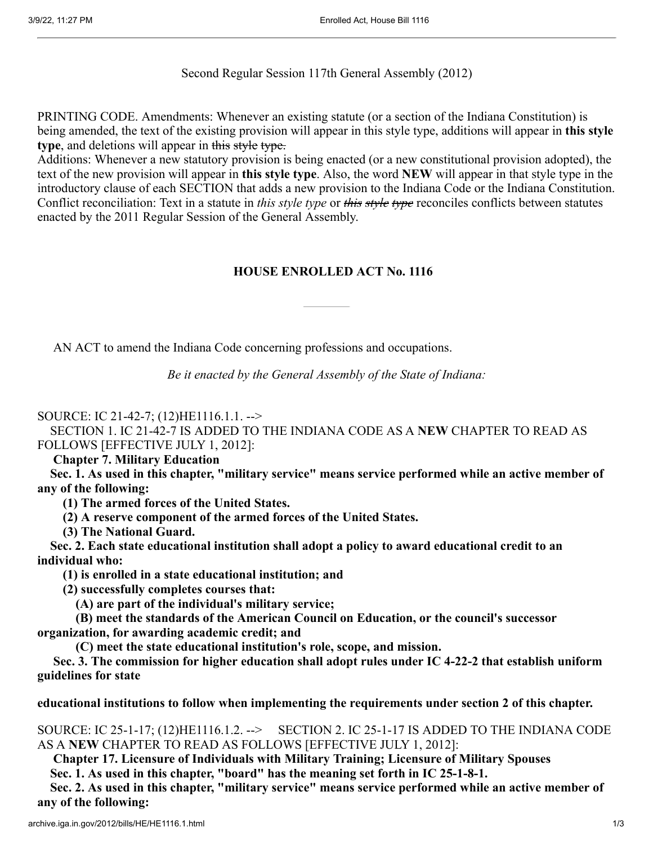Second Regular Session 117th General Assembly (2012)

PRINTING CODE. Amendments: Whenever an existing statute (or a section of the Indiana Constitution) is being amended, the text of the existing provision will appear in this style type, additions will appear in **this style type**, and deletions will appear in this style type.

Additions: Whenever a new statutory provision is being enacted (or a new constitutional provision adopted), the text of the new provision will appear in **this style type**. Also, the word **NEW** will appear in that style type in the introductory clause of each SECTION that adds a new provision to the Indiana Code or the Indiana Constitution. Conflict reconciliation: Text in a statute in *this style type* or *this style type* reconciles conflicts between statutes enacted by the 2011 Regular Session of the General Assembly.

## **HOUSE ENROLLED ACT No. 1116**

AN ACT to amend the Indiana Code concerning professions and occupations.

*Be it enacted by the General Assembly of the State of Indiana:*

SOURCE: IC 21-42-7; (12)HE1116.1.1. -->

SECTION 1. IC 21-42-7 IS ADDED TO THE INDIANA CODE AS A **NEW** CHAPTER TO READ AS FOLLOWS [EFFECTIVE JULY 1, 2012]:

 **Chapter 7. Military Education**

**Sec. 1. As used in this chapter, "military service" means service performed while an active member of any of the following:**

**(1) The armed forces of the United States.**

**(2) A reserve component of the armed forces of the United States.**

**(3) The National Guard.**

**Sec. 2. Each state educational institution shall adopt a policy to award educational credit to an individual who:**

**(1) is enrolled in a state educational institution; and**

**(2) successfully completes courses that:**

**(A) are part of the individual's military service;**

**(B) meet the standards of the American Council on Education, or the council's successor organization, for awarding academic credit; and**

**(C) meet the state educational institution's role, scope, and mission.**

 **Sec. 3. The commission for higher education shall adopt rules under IC 4-22-2 that establish uniform guidelines for state**

**educational institutions to follow when implementing the requirements under section 2 of this chapter.**

SOURCE: IC 25-1-17; (12)HE1116.1.2. --> SECTION 2. IC 25-1-17 IS ADDED TO THE INDIANA CODE AS A **NEW** CHAPTER TO READ AS FOLLOWS [EFFECTIVE JULY 1, 2012]:

 **Chapter 17. Licensure of Individuals with Military Training; Licensure of Military Spouses Sec. 1. As used in this chapter, "board" has the meaning set forth in IC 25-1-8-1.**

**Sec. 2. As used in this chapter, "military service" means service performed while an active member of any of the following:**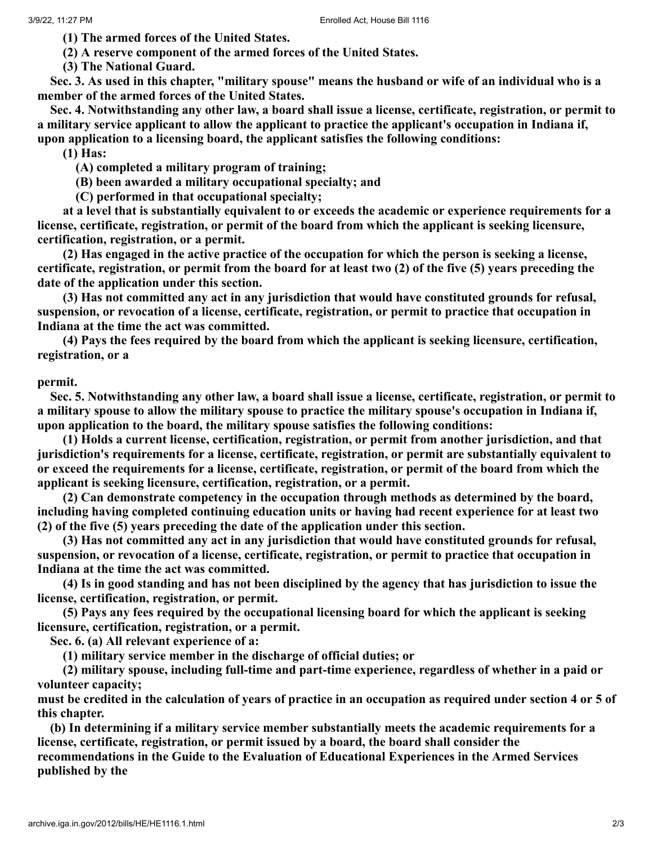**(1) The armed forces of the United States.**

**(2) A reserve component of the armed forces of the United States.**

**(3) The National Guard.**

**Sec. 3. As used in this chapter, "military spouse" means the husband or wife of an individual who is a member of the armed forces of the United States.**

**Sec. 4. Notwithstanding any other law, a board shall issue a license, certificate, registration, or permit to a military service applicant to allow the applicant to practice the applicant's occupation in Indiana if, upon application to a licensing board, the applicant satisfies the following conditions:**

**(1) Has:**

**(A) completed a military program of training;**

**(B) been awarded a military occupational specialty; and**

**(C) performed in that occupational specialty;**

**at a level that is substantially equivalent to or exceeds the academic or experience requirements for a license, certificate, registration, or permit of the board from which the applicant is seeking licensure, certification, registration, or a permit.**

**(2) Has engaged in the active practice of the occupation for which the person is seeking a license, certificate, registration, or permit from the board for at least two (2) of the five (5) years preceding the date of the application under this section.**

**(3) Has not committed any act in any jurisdiction that would have constituted grounds for refusal, suspension, or revocation of a license, certificate, registration, or permit to practice that occupation in Indiana at the time the act was committed.**

**(4) Pays the fees required by the board from which the applicant is seeking licensure, certification, registration, or a**

**permit.**

**Sec. 5. Notwithstanding any other law, a board shall issue a license, certificate, registration, or permit to a military spouse to allow the military spouse to practice the military spouse's occupation in Indiana if, upon application to the board, the military spouse satisfies the following conditions:**

**(1) Holds a current license, certification, registration, or permit from another jurisdiction, and that jurisdiction's requirements for a license, certificate, registration, or permit are substantially equivalent to or exceed the requirements for a license, certificate, registration, or permit of the board from which the** applicant is seeking licensure, certification, registration, or a permit.

**(2) Can demonstrate competency in the occupation through methods as determined by the board, including having completed continuing education units or having had recent experience for at least two (2) of the five (5) years preceding the date of the application under this section.**

**(3) Has not committed any act in any jurisdiction that would have constituted grounds for refusal, suspension, or revocation of a license, certificate, registration, or permit to practice that occupation in Indiana at the time the act was committed.**

**(4) Is in good standing and has not been disciplined by the agency that has jurisdiction to issue the license, certification, registration, or permit.**

**(5) Pays any fees required by the occupational licensing board for which the applicant is seeking licensure, certification, registration, or a permit.**

**Sec. 6. (a) All relevant experience of a:**

**(1) military service member in the discharge of official duties; or**

**(2) military spouse, including full-time and part-time experience, regardless of whether in a paid or volunteer capacity;**

**must be credited in the calculation of years of practice in an occupation as required under section 4 or 5 of this chapter.**

**(b) In determining if a military service member substantially meets the academic requirements for a license, certificate, registration, or permit issued by a board, the board shall consider the recommendations in the Guide to the Evaluation of Educational Experiences in the Armed Services published by the**